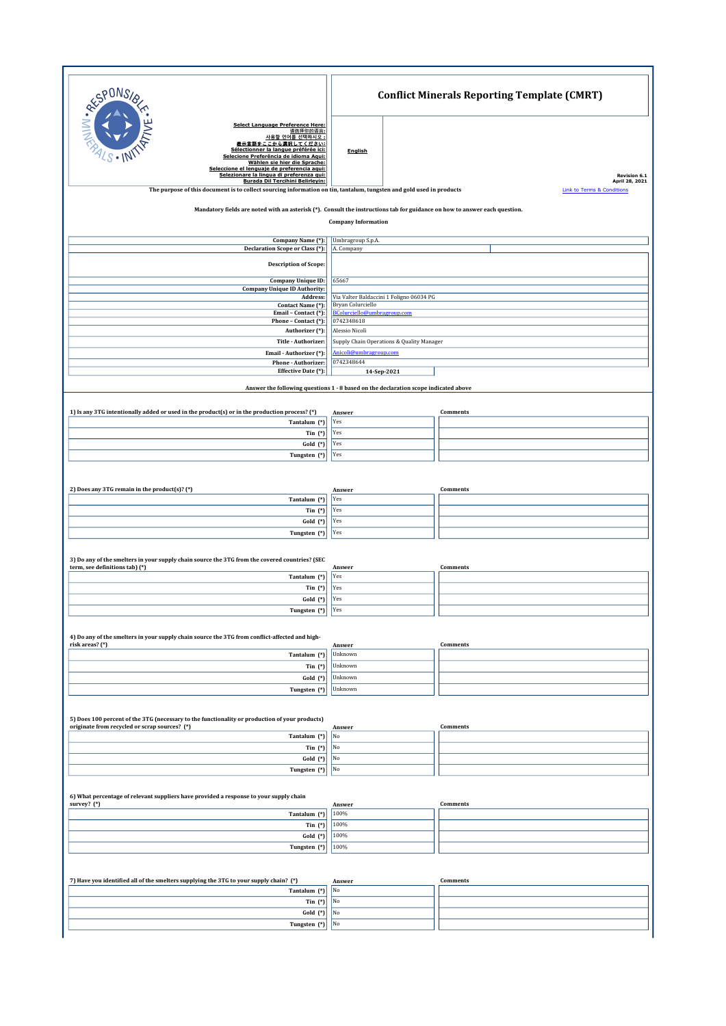| <b>RESPONS</b>                                                                                                                                                                                                                                                                                                                                                                                                                                                | <b>Conflict Minerals Reporting Template (CMRT)</b>                  |                                                                         |  |  |
|---------------------------------------------------------------------------------------------------------------------------------------------------------------------------------------------------------------------------------------------------------------------------------------------------------------------------------------------------------------------------------------------------------------------------------------------------------------|---------------------------------------------------------------------|-------------------------------------------------------------------------|--|--|
| Select Language Preference Here:<br>请选择你的语言:<br>사용할 언어를 선택하시오 :<br>表示言語をここから選択してください:<br>Sélectionner la langue préférée ici:<br>Selecione Preferência de idioma Aqui:<br>Wählen sie hier die Sprache:<br>Seleccione el lenguaje de preferencia aqui:<br>Selezionare la lingua di preferenza qui:<br>Burada Dil Tercihini Belirleyin:<br>The purpose of this document is to collect sourcing information on tin, tantalum, tungsten and gold used in products | English                                                             | Revision 6.1<br>April 28, 2021<br><b>Link to Terms &amp; Conditions</b> |  |  |
| Mandatory fields are noted with an asterisk (*). Consult the instructions tab for guidance on how to answer each question.<br><b>Company Information</b>                                                                                                                                                                                                                                                                                                      |                                                                     |                                                                         |  |  |
| Company Name (*):                                                                                                                                                                                                                                                                                                                                                                                                                                             | Umbragroup S.p.A.                                                   |                                                                         |  |  |
| Declaration Scope or Class (*):                                                                                                                                                                                                                                                                                                                                                                                                                               | A. Company                                                          |                                                                         |  |  |
| <b>Description of Scope:</b>                                                                                                                                                                                                                                                                                                                                                                                                                                  |                                                                     |                                                                         |  |  |
| Company Unique ID:                                                                                                                                                                                                                                                                                                                                                                                                                                            | 65667                                                               |                                                                         |  |  |
| <b>Company Unique ID Authority:</b><br>Address:                                                                                                                                                                                                                                                                                                                                                                                                               | Via Valter Baldaccini 1 Foligno 06034 PG                            |                                                                         |  |  |
| Contact Name (*):<br>Email - Contact (*):                                                                                                                                                                                                                                                                                                                                                                                                                     | Bryan Colurciello<br>BColurciello@umbragroup.com                    |                                                                         |  |  |
| Phone - Contact (*):                                                                                                                                                                                                                                                                                                                                                                                                                                          | 0742348618                                                          |                                                                         |  |  |
| Authorizer (*):                                                                                                                                                                                                                                                                                                                                                                                                                                               | Alessio Nicolì                                                      |                                                                         |  |  |
| Title - Authorizer<br>Email - Authorizer (*):                                                                                                                                                                                                                                                                                                                                                                                                                 | Supply Chain Operations & Quality Manager<br>Anicoli@umbragroup.com |                                                                         |  |  |
| Phone - Authorizer:                                                                                                                                                                                                                                                                                                                                                                                                                                           | 0742348644                                                          |                                                                         |  |  |
| Effective Date (*):                                                                                                                                                                                                                                                                                                                                                                                                                                           | 14-Sep-2021                                                         |                                                                         |  |  |
| Answer the following questions 1 - 8 based on the declaration scope indicated above                                                                                                                                                                                                                                                                                                                                                                           |                                                                     |                                                                         |  |  |
|                                                                                                                                                                                                                                                                                                                                                                                                                                                               |                                                                     |                                                                         |  |  |
| 1) Is any 3TG intentionally added or used in the product(s) or in the production process? (*)<br>Tantalum (*)                                                                                                                                                                                                                                                                                                                                                 | Answer<br>Yes                                                       | Comments                                                                |  |  |
| Tin $(*)$                                                                                                                                                                                                                                                                                                                                                                                                                                                     | Yes                                                                 |                                                                         |  |  |
| Gold (*)                                                                                                                                                                                                                                                                                                                                                                                                                                                      | Yes                                                                 |                                                                         |  |  |
| Tungsten (*)                                                                                                                                                                                                                                                                                                                                                                                                                                                  | Yes                                                                 |                                                                         |  |  |
|                                                                                                                                                                                                                                                                                                                                                                                                                                                               |                                                                     |                                                                         |  |  |
| 2) Does any 3TG remain in the product(s)? (*)                                                                                                                                                                                                                                                                                                                                                                                                                 | Answer                                                              | Comments                                                                |  |  |
| Tantalum (*)                                                                                                                                                                                                                                                                                                                                                                                                                                                  | Yes                                                                 |                                                                         |  |  |
| Tin $(*)$<br>Gold (*)                                                                                                                                                                                                                                                                                                                                                                                                                                         | Yes<br>Yes                                                          |                                                                         |  |  |
| Tungsten (*)                                                                                                                                                                                                                                                                                                                                                                                                                                                  | Yes                                                                 |                                                                         |  |  |
| 3) Do any of the smelters in your supply chain source the 3TG from the covered countries? (SEC                                                                                                                                                                                                                                                                                                                                                                |                                                                     |                                                                         |  |  |
| term, see definitions tab) (*)<br>Tantalum (*)                                                                                                                                                                                                                                                                                                                                                                                                                | Answer<br>Yes                                                       | Comments                                                                |  |  |
| Tin $(*)$                                                                                                                                                                                                                                                                                                                                                                                                                                                     | Yes                                                                 |                                                                         |  |  |
| Gold (*)                                                                                                                                                                                                                                                                                                                                                                                                                                                      | Yes                                                                 |                                                                         |  |  |
| Tungsten (*)                                                                                                                                                                                                                                                                                                                                                                                                                                                  | Yes                                                                 |                                                                         |  |  |
| 4) Do any of the smelters in your supply chain source the 3TG from conflict-affected and high-<br>risk areas? (*)                                                                                                                                                                                                                                                                                                                                             | Answer                                                              | Comments                                                                |  |  |
| Tantalum (*)                                                                                                                                                                                                                                                                                                                                                                                                                                                  | Unknown                                                             |                                                                         |  |  |
| Tin $(*)$                                                                                                                                                                                                                                                                                                                                                                                                                                                     | Unknown                                                             |                                                                         |  |  |
| Gold (*)                                                                                                                                                                                                                                                                                                                                                                                                                                                      | Unknown                                                             |                                                                         |  |  |
| Tungsten (*)                                                                                                                                                                                                                                                                                                                                                                                                                                                  | Unknown                                                             |                                                                         |  |  |
| 5) Does 100 percent of the 3TG (necessary to the functionality or production of your products)<br>originate from recycled or scrap sources? (*)                                                                                                                                                                                                                                                                                                               | Answer                                                              | Comments                                                                |  |  |
| Tantalum (*)                                                                                                                                                                                                                                                                                                                                                                                                                                                  | $_{\rm No}$                                                         |                                                                         |  |  |
| Tin $(*)$                                                                                                                                                                                                                                                                                                                                                                                                                                                     | No<br>No                                                            |                                                                         |  |  |
| $Gold$ $(*)$<br>Tungsten (*)                                                                                                                                                                                                                                                                                                                                                                                                                                  | No                                                                  |                                                                         |  |  |
|                                                                                                                                                                                                                                                                                                                                                                                                                                                               |                                                                     |                                                                         |  |  |
| 6) What percentage of relevant suppliers have provided a response to your supply chain<br>survey? (*)                                                                                                                                                                                                                                                                                                                                                         | Answer                                                              | Comments                                                                |  |  |
| Tantalum (*)<br>Tin $(*)$                                                                                                                                                                                                                                                                                                                                                                                                                                     | 100%<br>100%                                                        |                                                                         |  |  |
| Gold (*)                                                                                                                                                                                                                                                                                                                                                                                                                                                      | 100%                                                                |                                                                         |  |  |
| Tungsten (*)                                                                                                                                                                                                                                                                                                                                                                                                                                                  | 100%                                                                |                                                                         |  |  |
|                                                                                                                                                                                                                                                                                                                                                                                                                                                               |                                                                     |                                                                         |  |  |
| 7) Have you identified all of the smelters supplying the 3TG to your supply chain? (*)<br>Tantalum (*)                                                                                                                                                                                                                                                                                                                                                        | Answer<br>No                                                        | Comments                                                                |  |  |
| Tin $(*)$                                                                                                                                                                                                                                                                                                                                                                                                                                                     | No                                                                  |                                                                         |  |  |
| Gold (*)                                                                                                                                                                                                                                                                                                                                                                                                                                                      | No                                                                  |                                                                         |  |  |
| Tungsten (*)                                                                                                                                                                                                                                                                                                                                                                                                                                                  | No                                                                  |                                                                         |  |  |
|                                                                                                                                                                                                                                                                                                                                                                                                                                                               |                                                                     |                                                                         |  |  |